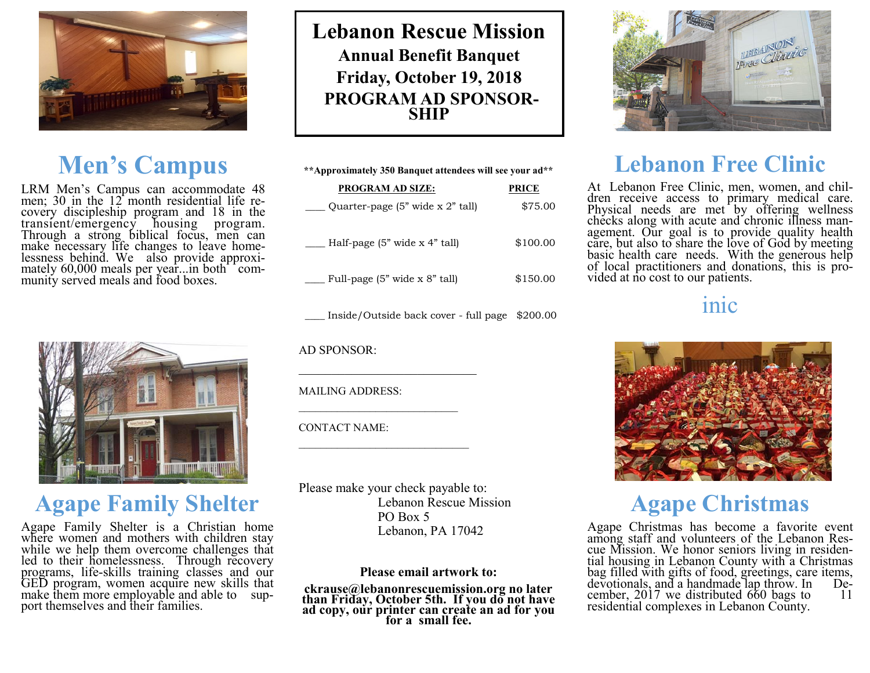

## **Men's Campus**

LRM Men's Campus can accommodate 48<br>men; 30 in the 12 month residential life re-<br>covery discipleship program and 18 in the<br>transient/emergency housing program.<br>Through a strong biblical focus, men can<br>make necessary life c



### **Agape Family Shelter**

Agape Family Shelter is a Christian home<br>where women and mothers with children stay<br>while we help them overcome challenges that<br>led to their homelessness. Through recovery<br>programs, life-skills training classes and our<br>GED port themselves and their families.

**Lebanon Rescue Mission Annual Benefit Banquet Friday, October 19, 2018 PROGRAM AD SPONSOR-SHIP**

| **Approximately 350 Banquet attendees will see your ad** |          |
|----------------------------------------------------------|----------|
| <b>PROGRAM AD SIZE:</b>                                  | PRICE    |
| Quarter-page $(5$ " wide x $2$ " tall)                   | \$75.00  |
| Half-page $(5$ " wide $x$ 4" tall)                       | \$100.00 |
| Full-page (5" wide x 8" tall)                            | \$150.00 |
|                                                          |          |

\_\_\_\_ Inside/Outside back cover - full page \$200.00

AD SPONSOR:

MAILING ADDRESS:

\_\_\_\_\_\_\_\_\_\_\_\_\_\_\_\_\_\_\_\_\_\_\_\_\_\_\_

\_\_\_\_\_\_\_\_\_\_\_\_\_\_\_\_\_\_\_\_\_\_\_\_\_\_\_\_\_

CONTACT NAME:

Please make your check payable to: Lebanon Rescue Mission PO Box 5 Lebanon, PA 17042

### **Please email artwork to:**

**ckrause@lebanonrescuemission.org no later than Friday, October 5th. If you do not have ad copy, our printer can create an ad for you for a small fee.** 



## **Lebanon Free Clinic**

At Lebanon Free Clinic, men, women, and chil-<br>dren receive access to primary medical care.<br>Physical needs are met by offering wellness<br>checks along with acute and chronic illness management. Our goal is to provide quality health care, but also to share the love of God by meeting basic health care needs. With the generous help of local practitioners and donations, this is provided at no cost to our pat

### inic



# **Agape Christmas**

Agape Christmas has become a favorite event<br>among staff and volunteers of the Lebanon Res-<br>cue Mission. We honor seniors living in residen-<br>tial housing in Lebanon County with a Christmas<br>bag filled with gifts of food, gre